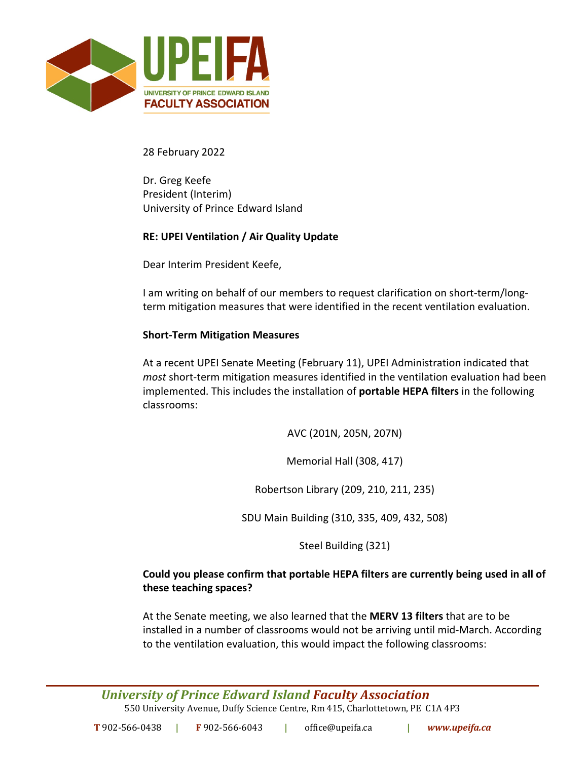

28 February 2022

Dr. Greg Keefe President (Interim) University of Prince Edward Island

## **RE: UPEI Ventilation / Air Quality Update**

Dear Interim President Keefe,

I am writing on behalf of our members to request clarification on short-term/longterm mitigation measures that were identified in the recent ventilation evaluation.

#### **Short-Term Mitigation Measures**

At a recent UPEI Senate Meeting (February 11), UPEI Administration indicated that *most* short-term mitigation measures identified in the ventilation evaluation had been implemented. This includes the installation of **portable HEPA filters** in the following classrooms:

AVC (201N, 205N, 207N)

Memorial Hall (308, 417)

Robertson Library (209, 210, 211, 235)

SDU Main Building (310, 335, 409, 432, 508)

Steel Building (321)

## **Could you please confirm that portable HEPA filters are currently being used in all of these teaching spaces?**

At the Senate meeting, we also learned that the **MERV 13 filters** that are to be installed in a number of classrooms would not be arriving until mid-March. According to the ventilation evaluation, this would impact the following classrooms: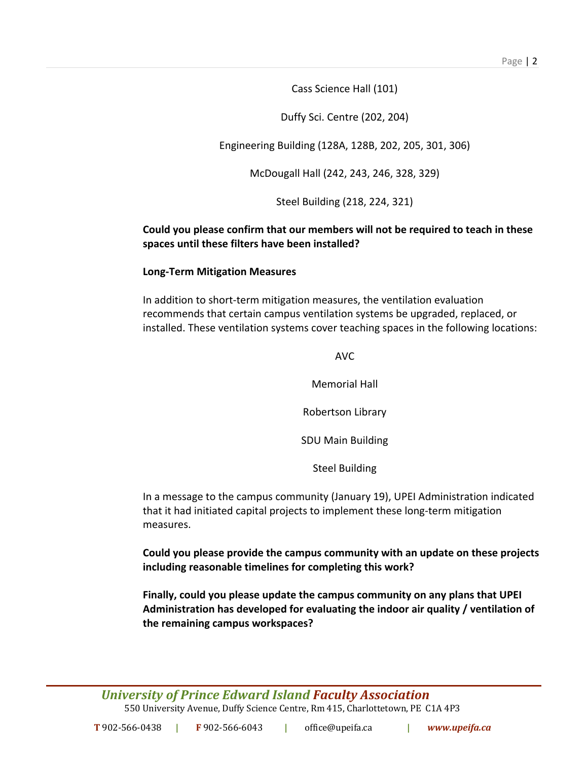Cass Science Hall (101)

Duffy Sci. Centre (202, 204)

Engineering Building (128A, 128B, 202, 205, 301, 306)

McDougall Hall (242, 243, 246, 328, 329)

Steel Building (218, 224, 321)

# **Could you please confirm that our members will not be required to teach in these spaces until these filters have been installed?**

## **Long-Term Mitigation Measures**

In addition to short-term mitigation measures, the ventilation evaluation recommends that certain campus ventilation systems be upgraded, replaced, or installed. These ventilation systems cover teaching spaces in the following locations:

AVC

Memorial Hall

Robertson Library

SDU Main Building

Steel Building

In a message to the campus community (January 19), UPEI Administration indicated that it had initiated capital projects to implement these long-term mitigation measures.

**Could you please provide the campus community with an update on these projects including reasonable timelines for completing this work?**

**Finally, could you please update the campus community on any plans that UPEI Administration has developed for evaluating the indoor air quality / ventilation of the remaining campus workspaces?**